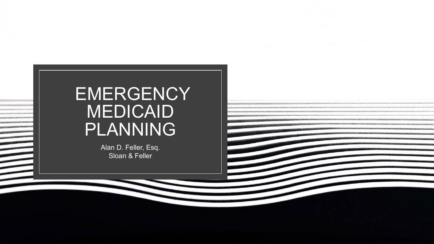# **EMERGENCY** MEDICAID PLANNING

Alan D. Feller, Esq. Sloan & Feller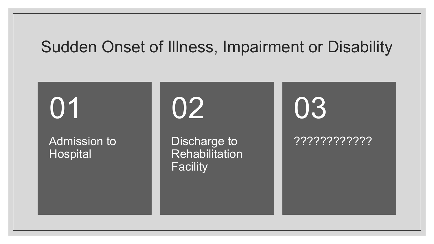#### Sudden Onset of Illness, Impairment or Disability

01

Admission to **Hospital** 

02

Discharge to **Rehabilitation Facility** 

???????????? 03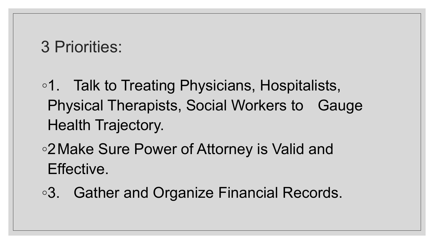## 3 Priorities:

◦1. Talk to Treating Physicians, Hospitalists, Physical Therapists, Social Workers to Gauge Health Trajectory.

◦2Make Sure Power of Attorney is Valid and Effective.

◦3. Gather and Organize Financial Records.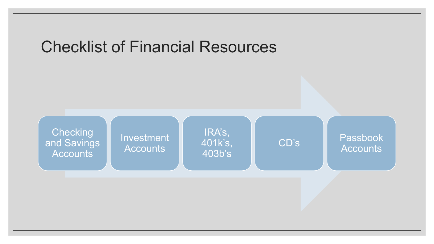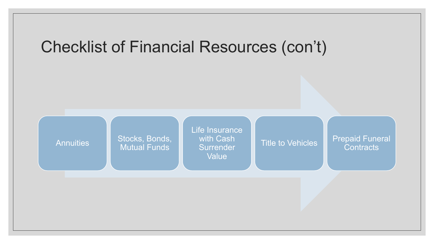

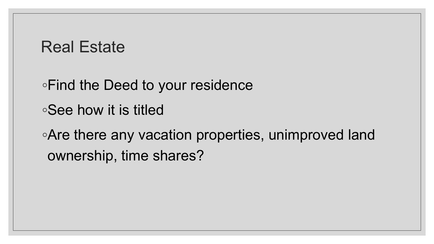#### Real Estate

◦Find the Deed to your residence

◦See how it is titled

◦Are there any vacation properties, unimproved land ownership, time shares?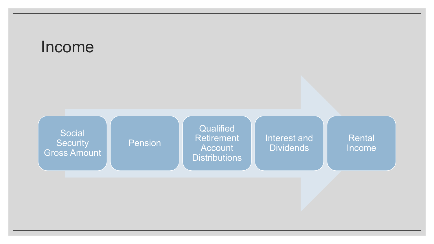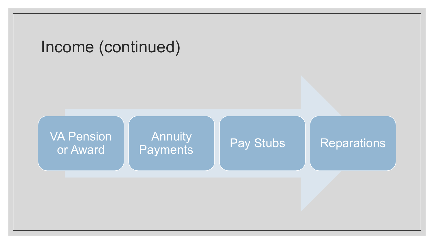

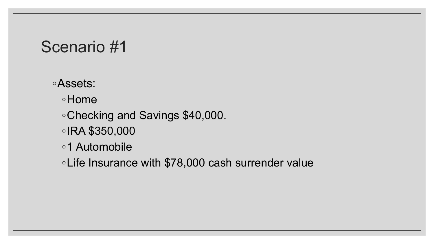#### ◦Assets:

◦Home

◦Checking and Savings \$40,000.

◦IRA \$350,000

◦1 Automobile

◦Life Insurance with \$78,000 cash surrender value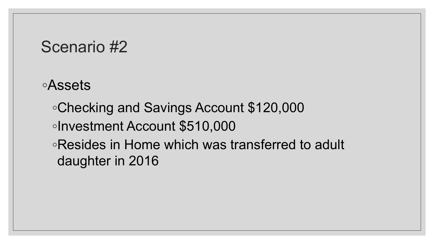◦Assets

◦Checking and Savings Account \$120,000 ◦Investment Account \$510,000 ◦Resides in Home which was transferred to adult daughter in 2016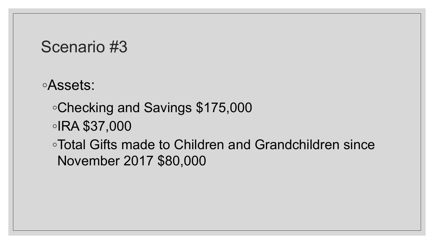◦Assets:

- ◦Checking and Savings \$175,000
- ◦IRA \$37,000

◦Total Gifts made to Children and Grandchildren since November 2017 \$80,000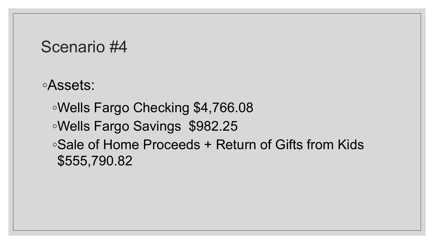◦Assets:

◦Wells Fargo Checking \$4,766.08 ◦Wells Fargo Savings \$982.25 ◦Sale of Home Proceeds + Return of Gifts from Kids \$555,790.82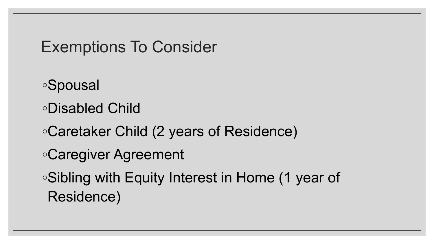### Exemptions To Consider

- ◦Spousal
- ◦Disabled Child
- ◦Caretaker Child (2 years of Residence)
- ◦Caregiver Agreement
- ◦Sibling with Equity Interest in Home (1 year of Residence)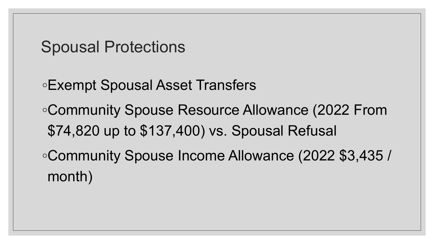#### Spousal Protections

◦Exempt Spousal Asset Transfers ◦Community Spouse Resource Allowance (2022 From \$74,820 up to \$137,400) vs. Spousal Refusal ◦Community Spouse Income Allowance (2022 \$3,435 / month)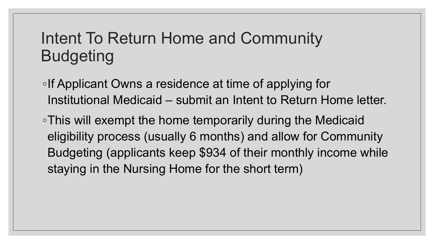### Intent To Return Home and Community Budgeting

- ◦If Applicant Owns a residence at time of applying for Institutional Medicaid – submit an Intent to Return Home letter.
- ◦This will exempt the home temporarily during the Medicaid eligibility process (usually 6 months) and allow for Community Budgeting (applicants keep \$934 of their monthly income while staying in the Nursing Home for the short term)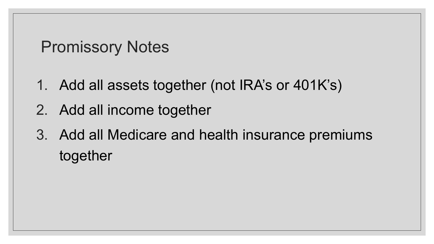### Promissory Notes

- 1. Add all assets together (not IRA's or 401K's)
- 2. Add all income together
- 3. Add all Medicare and health insurance premiums together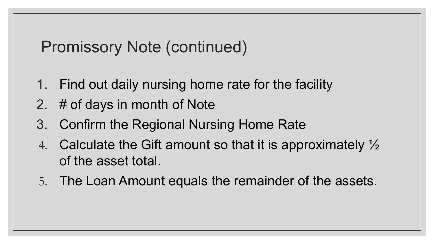### Promissory Note (continued)

- 1. Find out daily nursing home rate for the facility
- 2. # of days in month of Note
- 3. Confirm the Regional Nursing Home Rate
- 4. Calculate the Gift amount so that it is approximately  $\frac{1}{2}$ of the asset total.
- 5. The Loan Amount equals the remainder of the assets.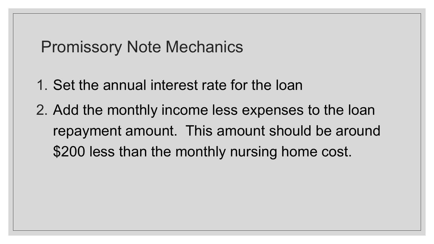#### Promissory Note Mechanics

- 1. Set the annual interest rate for the loan
- 2. Add the monthly income less expenses to the loan repayment amount. This amount should be around \$200 less than the monthly nursing home cost.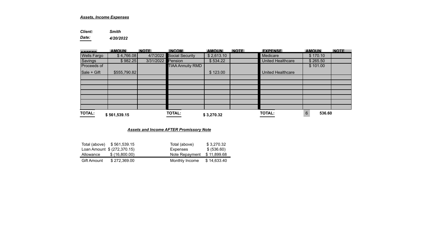#### *Assets, Income Expenses*

*Client: Smith* 

*Date: 4/20/2022* 

| $\sim$             | <b>AMOUN</b> | <b>NOTE</b> | <b>INCOM</b>             | <b>AMOUN</b> | <b>NOTE</b> | <b>EXPENSE</b>           | <b>AMOUN</b> | <b>NOTE</b> |
|--------------------|--------------|-------------|--------------------------|--------------|-------------|--------------------------|--------------|-------------|
| <b>Wells Fargo</b> | \$4,766.08]  |             | 4/7/2022 Social Security | \$2,613.10   |             | Medicare                 | \$170.10     |             |
| Savings            | \$982.25     | 3/31/2022   | Pension                  | \$534.22     |             | <b>United Healthcare</b> | \$265.50     |             |
| Proceeds of        |              |             | <b>TIAA Annuity RMD</b>  |              |             |                          | \$101.00     |             |
| <b>Sale + Gift</b> | \$555,790.82 |             |                          | \$123.00     |             | <b>United Healthcare</b> |              |             |
|                    |              |             |                          |              |             |                          |              |             |
|                    |              |             |                          |              |             |                          |              |             |
|                    |              |             |                          |              |             |                          |              |             |
|                    |              |             |                          |              |             |                          |              |             |
|                    |              |             |                          |              |             |                          |              |             |
|                    |              |             |                          |              |             |                          |              |             |
|                    |              |             |                          |              |             |                          |              |             |
| <b>TOTAL:</b>      | \$561,539.15 |             | <b>TOTAL:</b>            | \$3,270.32   |             | <b>TOTAL:</b>            | 6<br>536.60  |             |

#### *Assets and Income AFTER Promissory Note*

|             | Total (above) \$561,539.15  | Total (above)  | \$3.270.32  |
|-------------|-----------------------------|----------------|-------------|
|             | Loan Amount \$ (272,370.15) | Expenses       | \$ (536.60) |
| Allowance   | \$(16,800.00)               | Note Repayment | \$11.899.68 |
| Gift Amount | \$272.369.00                | Monthly Income | \$14,633.40 |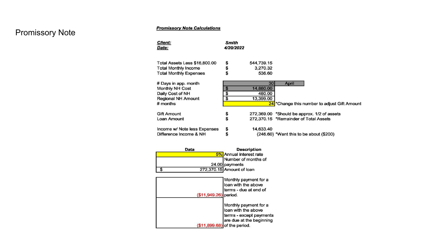#### **Promissory Note Calculations**

#### Promissory Note

| <b>Client:</b><br>Date:       | Smith<br>4/20/2022 |            |                                                          |
|-------------------------------|--------------------|------------|----------------------------------------------------------|
|                               |                    |            |                                                          |
|                               |                    |            |                                                          |
| Total Assets Less \$16,800.00 |                    | 544,739.15 |                                                          |
| <b>Total Monthly Income</b>   | <b>Տ</b><br>Տ      | 3,270.32   |                                                          |
| <b>Total Monthly Expenses</b> |                    | 536.60     |                                                          |
|                               |                    |            |                                                          |
| # Days in app. month          |                    | 30         | April                                                    |
| <b>Monthly NH Cost</b>        | \$                 | 14,880.00  |                                                          |
| Daily Cost of NH              | \$                 | 480.00     |                                                          |
| Regional NH Amount            | \$                 | 13,399.00  |                                                          |
| $#$ months                    |                    |            | 24 <sup>*</sup> Change this number to adjust Gift Amount |
|                               |                    |            |                                                          |
| <b>Gift Amount</b>            | \$                 |            | 272,369.00 *Should be approx. 1/2 of assets              |
| Loan Amount                   | \$                 |            | 272.370.15 *Remainder of Total Assets                    |
|                               |                    |            |                                                          |
| Income w/ Note less Expenses  | \$                 | 14.633.40  |                                                          |
| Difference Income & NH        | \$                 |            | (246.60) *Want this to be about (\$200)                  |
|                               |                    |            |                                                          |

| Data | <b>Description</b>        |
|------|---------------------------|
|      | 5% Annual interest rate   |
|      | Number of months of       |
|      | 24.00 payments            |
|      | 272,370.15 Amount of loan |

| $($11,949.26)$ period. | Monthly payment for a<br>loan with the above<br>terms - due at end of                                                 |
|------------------------|-----------------------------------------------------------------------------------------------------------------------|
| (\$11,899.68)          | Monthly payment for a<br>loan with the above<br>terms - except payments<br>are due at the beginning<br>of the period. |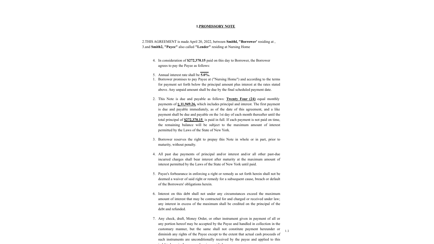#### **1.PROMISSORY NOTE**

2.THIS AGREEMENT is made April 20, 2022, between **Smithl, "Borrower'** residing at , 3.and **Smith2, "Payee"** also called **"Lender"** residing at Nursing Home

- 4. In consideration of **\$272,370.15** paid on this day to Borrower, the Borrower agrees to pay the Payee as follows:
- 5. Annual interest rate shall be **5.0%.**
- 1. Borrower promises to pay Payee at ("Nursing Home") and according to the terms for payment set forth below the principal amount plus interest at the rates stated above. Any unpaid amount shall be due by the final scheduled payment date.
- 2. This Note is due and payable as follows: **Twenty Four (24)** equal monthly payments of \$ **11,949.26,** which includes principal and interest. The first payment is due and payable immediately, as of the date of this agreement, and a like payment shall be due and payable on the 1st day of each month thereafter until the total principal of **\$272,370.15** is paid in full. If each payment is not paid on time, the remaining balance will be subject to the maximum amount of interest permitted by the Laws of the State of New York.
- 3. Borrower reserves the right to prepay this Note in whole or in part, prior to maturity, without penalty.
- 4. All past due payments of principal and/or interest and/or all other past-due incurred charges shall bear interest after maturity at the maximum amount of interest permitted by the Laws of the State of New York until paid.
- 5. Payee's forbearance in enforcing a right or remedy as set forth herein shall not be deemed a waiver of said right or remedy for a subsequent cause, breach or default of the Borrowers' obligations herein.
- 6. Interest on this debt shall not under any circumstances exceed the maximum amount of interest that may be contracted for and charged or received under law; any interest in excess of the maximum shall be credited on the principal of the debt and refunded.
- 7. Any check, draft, Money Order, or other instrument given in payment of all or any portion hereof may be accepted by the Payee and handled in collection in the customary manner, but the same shall not constitute payment hereunder or diminish any rights of the Payee except to the extent that actual cash proceeds of such instruments are unconditionally received by the payee and applied to this indebtedness in the manner herein provided. 1.1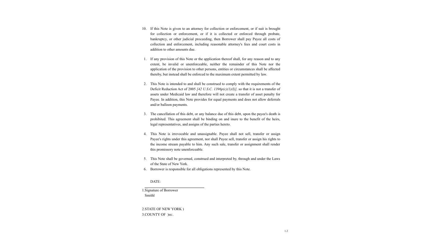- 10. If this Note is given to an attorney for collection or enforcement, or if suit is brought for collection or enforcement, or if it is collected or enforced through probate, bankruptcy, or other judicial proceeding, then Borrower shall pay Payee all costs of collection and enforcement, including reasonable attorney's fees and court costs in addition to other amounts due.
- 1. If any provision of this Note or the application thereof shall, for any reason and to any extent, be invalid or unenforceable, neither the remainder of this Note nor the application of the provision to other persons, entities or circumstances shall be affected thereby, but instead shall be enforced to the maximum extent permitted by law.
- 2. This Note is intended to and shall be construed to comply with the requirements of the Deficit Reduction Act of 2005 *[42 U.S.C. 1396p(c)(1)(I)],* so that it is not a transfer of assets under Medicaid law and therefore will not create a transfer of asset penalty for Payee. In addition, this Note provides for equal payments and does not allow deferrals and/or balloon payments.
- 3. The cancellation of this debt, or any balance due of this debt, upon the payee's death is prohibited. This agreement shall be binding on and inure to the benefit of the heirs, legal representatives, and assigns of the parties hereto.
- 4. This Note is irrevocable and unassignable. Payee shall not sell, transfer or assign Payee's rights under this agreement, nor shall Payee sell, transfer or assign his rights to the income stream payable to him. Any such sale, transfer or assignment shall render this promissory note unenforceable.
- 5. This Note shall be governed, construed and interpreted by, through and under the Laws of the State of New York.
- 6. Borrower is responsible for all obligations represented by this Note.

#### DATE:

1.Signature of Borrower Smithl

2.STATE OF NEW YORK ) 3.COUNTY OF )ss:.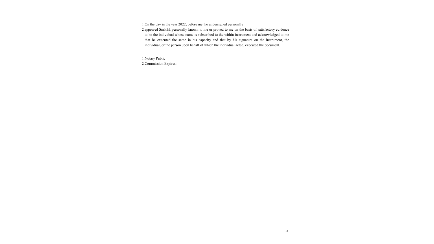1.On the day in the year 2022, before me the undersigned personally

2.appeared **Smithl,** personally known to me or proved to me on the basis of satisfactory evidence to be the individual whose name is subscribed to the within instrument and acknowledged to me that he executed the same in his capacity and that by his signature on the instrument, the individual, or the person upon behalf of which the individual acted, executed the document.

1.Notary Public

2.Commission Expires: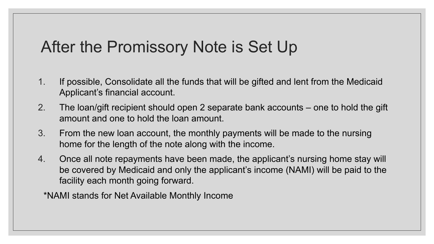### After the Promissory Note is Set Up

- 1. If possible, Consolidate all the funds that will be gifted and lent from the Medicaid Applicant's financial account.
- 2. The loan/gift recipient should open 2 separate bank accounts one to hold the gift amount and one to hold the loan amount.
- 3. From the new loan account, the monthly payments will be made to the nursing home for the length of the note along with the income.
- 4. Once all note repayments have been made, the applicant's nursing home stay will be covered by Medicaid and only the applicant's income (NAMI) will be paid to the facility each month going forward.
	- \*NAMI stands for Net Available Monthly Income